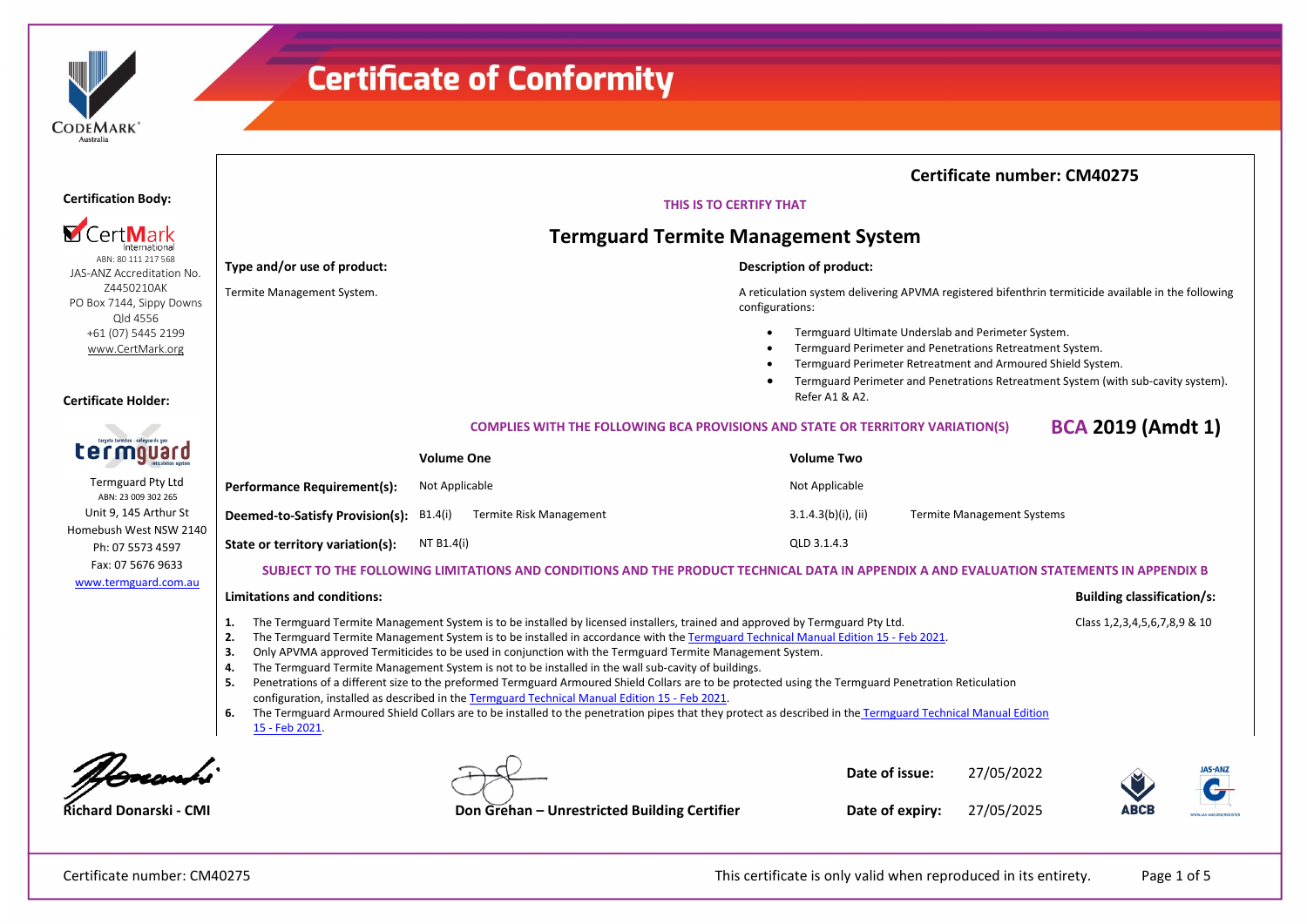

|                                                                                  | <b>Certificate number: CM40275</b>                                                                                                                                                                                                                                                                                                                                                                                                                                                                                                                                                                                                                                                                                                                                                                                                                                                                                                                                                                              |                                              |                                                                                                                        |                        |  |                                   |      |                                   |  |  |
|----------------------------------------------------------------------------------|-----------------------------------------------------------------------------------------------------------------------------------------------------------------------------------------------------------------------------------------------------------------------------------------------------------------------------------------------------------------------------------------------------------------------------------------------------------------------------------------------------------------------------------------------------------------------------------------------------------------------------------------------------------------------------------------------------------------------------------------------------------------------------------------------------------------------------------------------------------------------------------------------------------------------------------------------------------------------------------------------------------------|----------------------------------------------|------------------------------------------------------------------------------------------------------------------------|------------------------|--|-----------------------------------|------|-----------------------------------|--|--|
| <b>Certification Body:</b>                                                       | THIS IS TO CERTIFY THAT                                                                                                                                                                                                                                                                                                                                                                                                                                                                                                                                                                                                                                                                                                                                                                                                                                                                                                                                                                                         |                                              |                                                                                                                        |                        |  |                                   |      |                                   |  |  |
|                                                                                  | <b>Termguard Termite Management System</b>                                                                                                                                                                                                                                                                                                                                                                                                                                                                                                                                                                                                                                                                                                                                                                                                                                                                                                                                                                      |                                              |                                                                                                                        |                        |  |                                   |      |                                   |  |  |
| ABN: 80 111 217 568<br>JAS-ANZ Accreditation No.                                 | Type and/or use of product:                                                                                                                                                                                                                                                                                                                                                                                                                                                                                                                                                                                                                                                                                                                                                                                                                                                                                                                                                                                     |                                              |                                                                                                                        |                        |  |                                   |      |                                   |  |  |
| Z4450210AK<br>PO Box 7144, Sippy Downs                                           | Termite Management System.                                                                                                                                                                                                                                                                                                                                                                                                                                                                                                                                                                                                                                                                                                                                                                                                                                                                                                                                                                                      |                                              | A reticulation system delivering APVMA registered bifenthrin termiticide available in the following<br>configurations: |                        |  |                                   |      |                                   |  |  |
| Qld 4556<br>+61 (07) 5445 2199<br>www.CertMark.org<br><b>Certificate Holder:</b> | Termguard Ultimate Underslab and Perimeter System.<br>Termguard Perimeter and Penetrations Retreatment System.<br>Termguard Perimeter Retreatment and Armoured Shield System.<br>Termguard Perimeter and Penetrations Retreatment System (with sub-cavity system).<br>Refer A1 & A2.                                                                                                                                                                                                                                                                                                                                                                                                                                                                                                                                                                                                                                                                                                                            |                                              |                                                                                                                        |                        |  |                                   |      |                                   |  |  |
|                                                                                  | <b>BCA 2019 (Amdt 1)</b><br><b>COMPLIES WITH THE FOLLOWING BCA PROVISIONS AND STATE OR TERRITORY VARIATION(S)</b>                                                                                                                                                                                                                                                                                                                                                                                                                                                                                                                                                                                                                                                                                                                                                                                                                                                                                               |                                              |                                                                                                                        |                        |  |                                   |      |                                   |  |  |
|                                                                                  |                                                                                                                                                                                                                                                                                                                                                                                                                                                                                                                                                                                                                                                                                                                                                                                                                                                                                                                                                                                                                 | <b>Volume One</b>                            |                                                                                                                        | <b>Volume Two</b>      |  |                                   |      |                                   |  |  |
| <b>Termguard Pty Ltd</b><br>ABN: 23 009 302 265                                  | <b>Performance Requirement(s):</b>                                                                                                                                                                                                                                                                                                                                                                                                                                                                                                                                                                                                                                                                                                                                                                                                                                                                                                                                                                              | Not Applicable                               |                                                                                                                        | Not Applicable         |  |                                   |      |                                   |  |  |
| Unit 9, 145 Arthur St                                                            | Deemed-to-Satisfy Provision(s):                                                                                                                                                                                                                                                                                                                                                                                                                                                                                                                                                                                                                                                                                                                                                                                                                                                                                                                                                                                 | Termite Risk Management<br>B1.4(i)           |                                                                                                                        | $3.1.4.3(b)(i)$ , (ii) |  | <b>Termite Management Systems</b> |      |                                   |  |  |
| Homebush West NSW 2140<br>Ph: 07 5573 4597                                       | State or territory variation(s):                                                                                                                                                                                                                                                                                                                                                                                                                                                                                                                                                                                                                                                                                                                                                                                                                                                                                                                                                                                | NT B1.4(i)                                   |                                                                                                                        | QLD 3.1.4.3            |  |                                   |      |                                   |  |  |
| Fax: 07 5676 9633                                                                | SUBJECT TO THE FOLLOWING LIMITATIONS AND CONDITIONS AND THE PRODUCT TECHNICAL DATA IN APPENDIX A AND EVALUATION STATEMENTS IN APPENDIX B                                                                                                                                                                                                                                                                                                                                                                                                                                                                                                                                                                                                                                                                                                                                                                                                                                                                        |                                              |                                                                                                                        |                        |  |                                   |      |                                   |  |  |
|                                                                                  | www.termguard.com.au<br><b>Limitations and conditions:</b>                                                                                                                                                                                                                                                                                                                                                                                                                                                                                                                                                                                                                                                                                                                                                                                                                                                                                                                                                      |                                              |                                                                                                                        |                        |  |                                   |      | <b>Building classification/s:</b> |  |  |
|                                                                                  | The Termguard Termite Management System is to be installed by licensed installers, trained and approved by Termguard Pty Ltd.<br>Class 1, 2, 3, 4, 5, 6, 7, 8, 9 & 10<br>1.<br>2.<br>The Termguard Termite Management System is to be installed in accordance with the Termguard Technical Manual Edition 15 - Feb 2021.<br>3.<br>Only APVMA approved Termiticides to be used in conjunction with the Termguard Termite Management System.<br>The Termguard Termite Management System is not to be installed in the wall sub-cavity of buildings.<br>4.<br>-5.<br>Penetrations of a different size to the preformed Termguard Armoured Shield Collars are to be protected using the Termguard Penetration Reticulation<br>configuration, installed as described in the Termguard Technical Manual Edition 15 - Feb 2021.<br>The Termguard Armoured Shield Collars are to be installed to the penetration pipes that they protect as described in the Termguard Technical Manual Edition<br>6.<br>15 - Feb 2021. |                                              |                                                                                                                        |                        |  |                                   |      |                                   |  |  |
|                                                                                  |                                                                                                                                                                                                                                                                                                                                                                                                                                                                                                                                                                                                                                                                                                                                                                                                                                                                                                                                                                                                                 |                                              |                                                                                                                        | Date of issue:         |  | 27/05/2022                        |      | <b>JAS-ANZ</b>                    |  |  |
| <b>Richard Donarski - CMI</b>                                                    |                                                                                                                                                                                                                                                                                                                                                                                                                                                                                                                                                                                                                                                                                                                                                                                                                                                                                                                                                                                                                 | Don Grehan - Unrestricted Building Certifier |                                                                                                                        | Date of expiry:        |  | 27/05/2025                        | ABCB |                                   |  |  |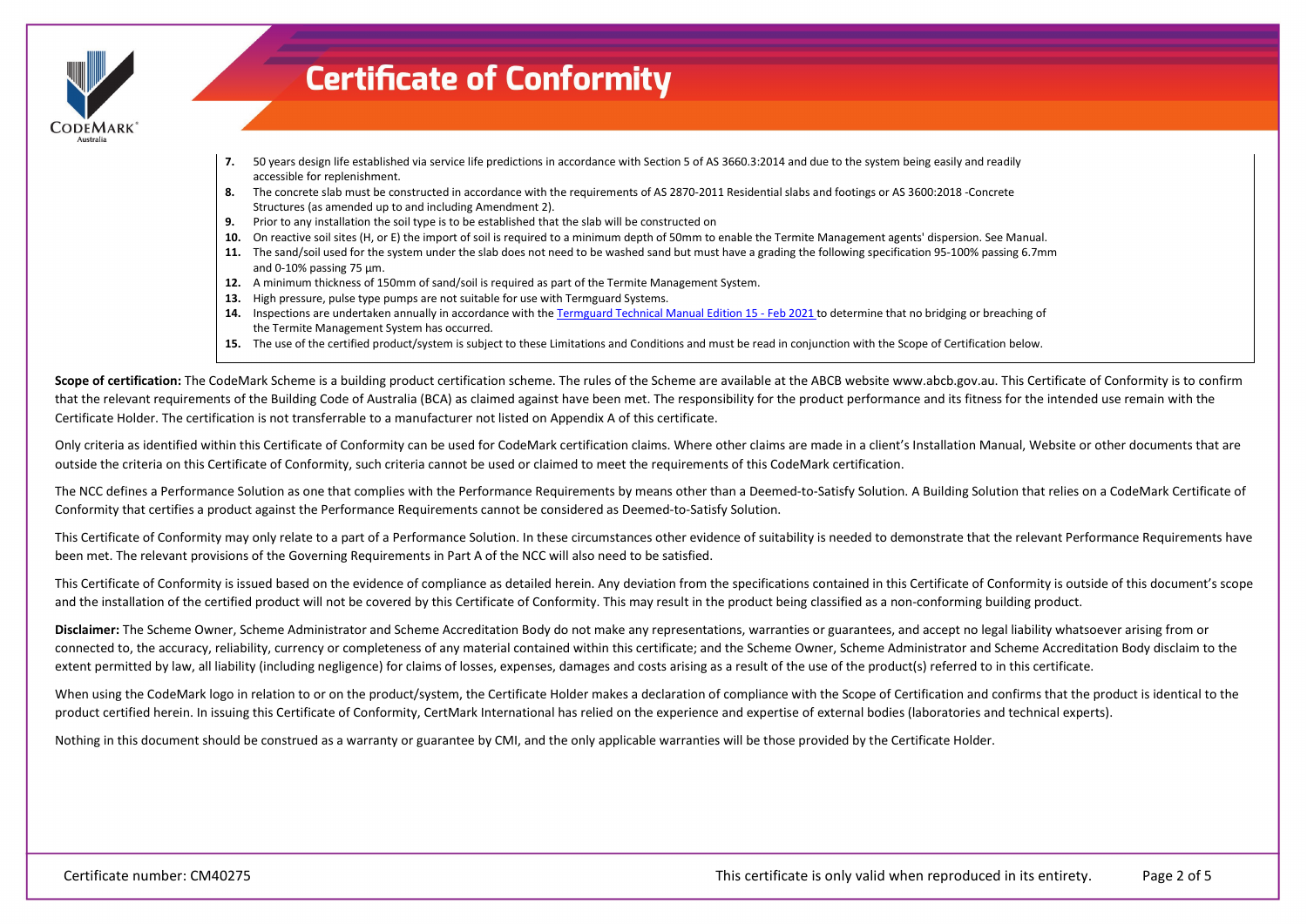

- **7.** 50 years design life established via service life predictions in accordance with Section 5 of AS 3660.3:2014 and due to the system being easily and readily accessible for replenishment.
- **8.** The concrete slab must be constructed in accordance with the requirements of AS 2870-2011 Residential slabs and footings or AS 3600:2018 -Concrete Structures (as amended up to and including Amendment 2).
- **9.** Prior to any installation the soil type is to be established that the slab will be constructed on
- **10.** On reactive soil sites (H, or E) the import of soil is required to a minimum depth of 50mm to enable the Termite Management agents' dispersion. See Manual.
- **11.** The sand/soil used for the system under the slab does not need to be washed sand but must have a grading the following specification 95-100% passing 6.7mm and 0-10% passing 75 μm.
- **12.** A minimum thickness of 150mm of sand/soil is required as part of the Termite Management System.
- **13.** High pressure, pulse type pumps are not suitable for use with Termguard Systems.
- **14.** Inspections are undertaken annually in accordance with th[e Termguard Technical Manual Edition 15 Feb 2021](https://register.certmark.org/certificates/Termguard/CM40275/Termguard_Technical_Manual_Edition_15-Feb_2021.pdf) to determine that no bridging or breaching of the Termite Management System has occurred.
- **15.** The use of the certified product/system is subject to these Limitations and Conditions and must be read in conjunction with the Scope of Certification below.

Scope of certification: The CodeMark Scheme is a building product certification scheme. The rules of the Scheme are available at the ABCB website www.abcb.gov.au. This Certificate of Conformity is to confirm that the relevant requirements of the Building Code of Australia (BCA) as claimed against have been met. The responsibility for the product performance and its fitness for the intended use remain with the Certificate Holder. The certification is not transferrable to a manufacturer not listed on Appendix A of this certificate.

Only criteria as identified within this Certificate of Conformity can be used for CodeMark certification claims. Where other claims are made in a client's Installation Manual, Website or other documents that are outside the criteria on this Certificate of Conformity, such criteria cannot be used or claimed to meet the requirements of this CodeMark certification.

The NCC defines a Performance Solution as one that complies with the Performance Requirements by means other than a Deemed-to-Satisfy Solution. A Building Solution that relies on a CodeMark Certificate of Conformity that certifies a product against the Performance Requirements cannot be considered as Deemed-to-Satisfy Solution.

This Certificate of Conformity may only relate to a part of a Performance Solution. In these circumstances other evidence of suitability is needed to demonstrate that the relevant Performance Requirements have been met. The relevant provisions of the Governing Requirements in Part A of the NCC will also need to be satisfied.

This Certificate of Conformity is issued based on the evidence of compliance as detailed herein. Any deviation from the specifications contained in this Certificate of Conformity is outside of this document's scope and the installation of the certified product will not be covered by this Certificate of Conformity. This may result in the product being classified as a non-conforming building product.

**Disclaimer:** The Scheme Owner, Scheme Administrator and Scheme Accreditation Body do not make any representations, warranties or guarantees, and accept no legal liability whatsoever arising from or connected to, the accuracy, reliability, currency or completeness of any material contained within this certificate; and the Scheme Owner, Scheme Administrator and Scheme Accreditation Body disclaim to the extent permitted by law, all liability (including negligence) for claims of losses, expenses, damages and costs arising as a result of the use of the product(s) referred to in this certificate.

When using the CodeMark logo in relation to or on the product/system, the Certificate Holder makes a declaration of compliance with the Scope of Certification and confirms that the product is identical to the product certified herein. In issuing this Certificate of Conformity, CertMark International has relied on the experience and expertise of external bodies (laboratories and technical experts).

Nothing in this document should be construed as a warranty or guarantee by CMI, and the only applicable warranties will be those provided by the Certificate Holder.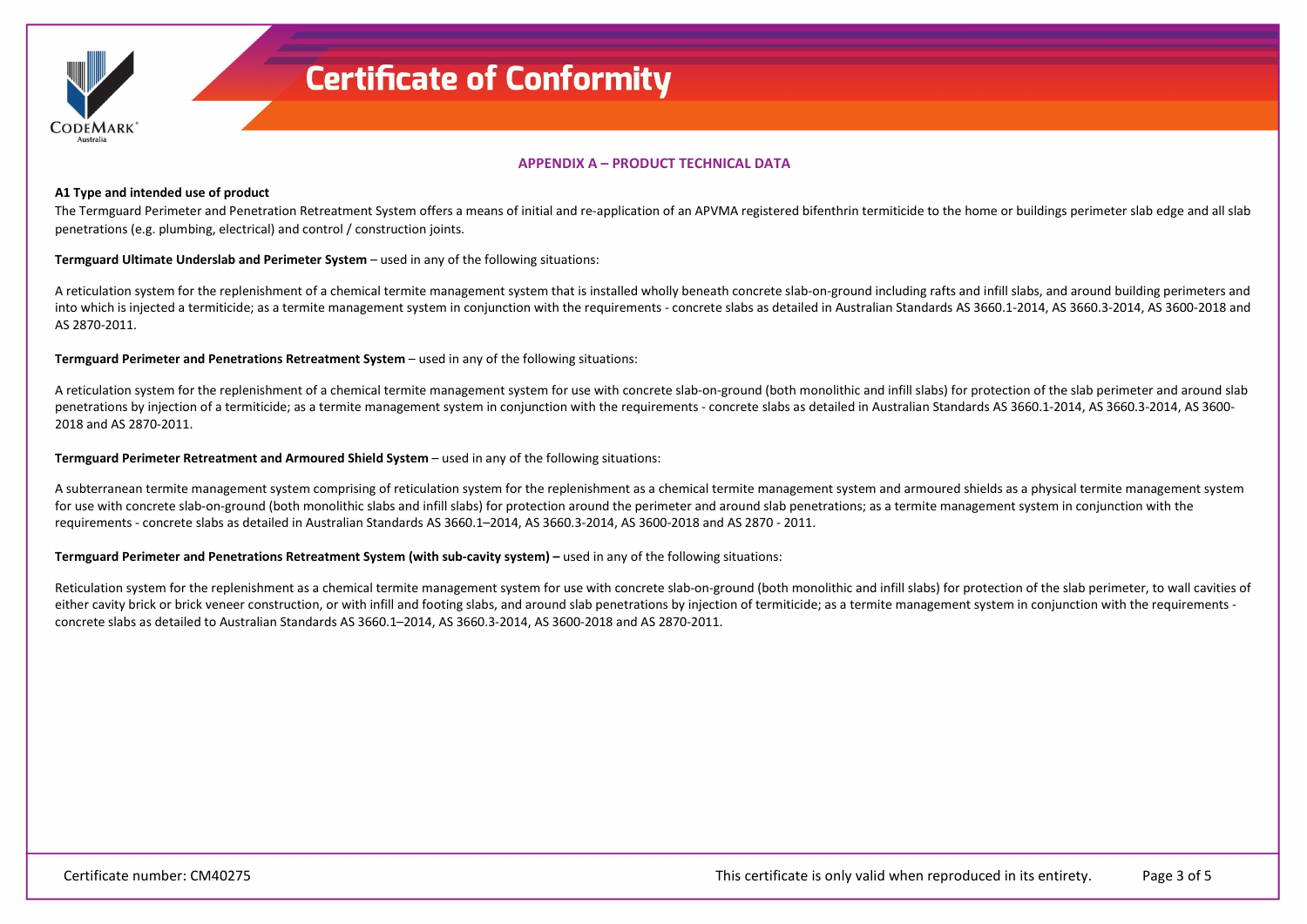

## **APPENDIX A – PRODUCT TECHNICAL DATA**

#### **A1 Type and intended use of product**

The Termguard Perimeter and Penetration Retreatment System offers a means of initial and re-application of an APVMA registered bifenthrin termiticide to the home or buildings perimeter slab edge and all slab penetrations (e.g. plumbing, electrical) and control / construction joints.

**Termguard Ultimate Underslab and Perimeter System** – used in any of the following situations:

A reticulation system for the replenishment of a chemical termite management system that is installed wholly beneath concrete slab-on-ground including rafts and infill slabs, and around building perimeters and into which is injected a termiticide; as a termite management system in conjunction with the requirements - concrete slabs as detailed in Australian Standards AS 3660.1-2014, AS 3660.3-2014, AS 3600-2018 and AS 2870-2011.

**Termguard Perimeter and Penetrations Retreatment System** – used in any of the following situations:

A reticulation system for the replenishment of a chemical termite management system for use with concrete slab-on-ground (both monolithic and infill slabs) for protection of the slab perimeter and around slab penetrations by injection of a termiticide; as a termite management system in conjunction with the requirements - concrete slabs as detailed in Australian Standards AS 3660.1-2014, AS 3660.3-2014, AS 3600-2018 and AS 2870-2011.

#### **Termguard Perimeter Retreatment and Armoured Shield System** – used in any of the following situations:

A subterranean termite management system comprising of reticulation system for the replenishment as a chemical termite management system and armoured shields as a physical termite management system for use with concrete slab-on-ground (both monolithic slabs and infill slabs) for protection around the perimeter and around slab penetrations; as a termite management system in conjunction with the requirements - concrete slabs as detailed in Australian Standards AS 3660.1–2014, AS 3660.3-2014, AS 3600-2018 and AS 2870 - 2011.

#### **Termguard Perimeter and Penetrations Retreatment System (with sub-cavity system) –** used in any of the following situations:

Reticulation system for the replenishment as a chemical termite management system for use with concrete slab-on-ground (both monolithic and infill slabs) for protection of the slab perimeter, to wall cavities of either cavity brick or brick veneer construction, or with infill and footing slabs, and around slab penetrations by injection of termiticide; as a termite management system in conjunction with the requirements concrete slabs as detailed to Australian Standards AS 3660.1–2014, AS 3660.3-2014, AS 3600-2018 and AS 2870-2011.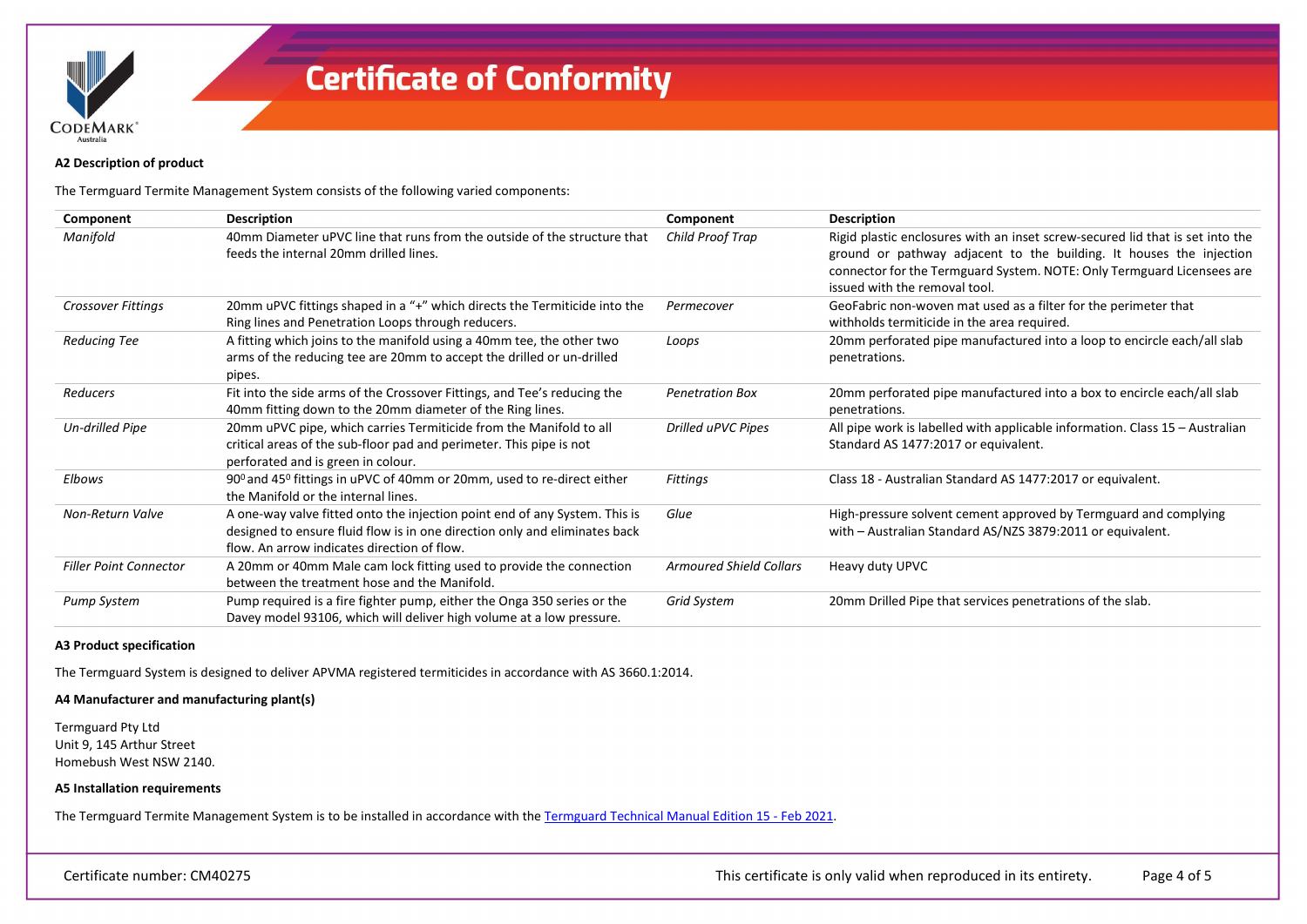

### **A2 Description of product**

The Termguard Termite Management System consists of the following varied components:

| Component                     | <b>Description</b>                                                                                                                                                                                      | Component                      | <b>Description</b>                                                                                                                                                                                                                                              |
|-------------------------------|---------------------------------------------------------------------------------------------------------------------------------------------------------------------------------------------------------|--------------------------------|-----------------------------------------------------------------------------------------------------------------------------------------------------------------------------------------------------------------------------------------------------------------|
| Manifold                      | 40mm Diameter uPVC line that runs from the outside of the structure that<br>feeds the internal 20mm drilled lines.                                                                                      | Child Proof Trap               | Rigid plastic enclosures with an inset screw-secured lid that is set into the<br>ground or pathway adjacent to the building. It houses the injection<br>connector for the Termguard System. NOTE: Only Termguard Licensees are<br>issued with the removal tool. |
| Crossover Fittings            | 20mm uPVC fittings shaped in a "+" which directs the Termiticide into the<br>Ring lines and Penetration Loops through reducers.                                                                         | Permecover                     | GeoFabric non-woven mat used as a filter for the perimeter that<br>withholds termiticide in the area required.                                                                                                                                                  |
| Reducing Tee                  | A fitting which joins to the manifold using a 40mm tee, the other two<br>arms of the reducing tee are 20mm to accept the drilled or un-drilled<br>pipes.                                                | Loops                          | 20mm perforated pipe manufactured into a loop to encircle each/all slab<br>penetrations.                                                                                                                                                                        |
| Reducers                      | Fit into the side arms of the Crossover Fittings, and Tee's reducing the<br>40mm fitting down to the 20mm diameter of the Ring lines.                                                                   | <b>Penetration Box</b>         | 20mm perforated pipe manufactured into a box to encircle each/all slab<br>penetrations.                                                                                                                                                                         |
| Un-drilled Pipe               | 20mm uPVC pipe, which carries Termiticide from the Manifold to all<br>critical areas of the sub-floor pad and perimeter. This pipe is not<br>perforated and is green in colour.                         | Drilled uPVC Pipes             | All pipe work is labelled with applicable information. Class 15 - Australian<br>Standard AS 1477:2017 or equivalent.                                                                                                                                            |
| Elbows                        | 90 <sup>0</sup> and 45 <sup>0</sup> fittings in uPVC of 40mm or 20mm, used to re-direct either<br>the Manifold or the internal lines.                                                                   | Fittings                       | Class 18 - Australian Standard AS 1477:2017 or equivalent.                                                                                                                                                                                                      |
| Non-Return Valve              | A one-way valve fitted onto the injection point end of any System. This is<br>designed to ensure fluid flow is in one direction only and eliminates back<br>flow. An arrow indicates direction of flow. | Glue                           | High-pressure solvent cement approved by Termguard and complying<br>with - Australian Standard AS/NZS 3879:2011 or equivalent.                                                                                                                                  |
| <b>Filler Point Connector</b> | A 20mm or 40mm Male cam lock fitting used to provide the connection<br>between the treatment hose and the Manifold.                                                                                     | <b>Armoured Shield Collars</b> | Heavy duty UPVC                                                                                                                                                                                                                                                 |
| Pump System                   | Pump required is a fire fighter pump, either the Onga 350 series or the<br>Davey model 93106, which will deliver high volume at a low pressure.                                                         | Grid System                    | 20mm Drilled Pipe that services penetrations of the slab.                                                                                                                                                                                                       |

#### **A3 Product specification**

The Termguard System is designed to deliver APVMA registered termiticides in accordance with AS 3660.1:2014.

## **A4 Manufacturer and manufacturing plant(s)**

Termguard Pty Ltd Unit 9, 145 Arthur Street Homebush West NSW 2140.

### **A5 Installation requirements**

The Termguard Termite Management System is to be installed in accordance with the [Termguard Technical Manual Edition 15 - Feb 2021.](https://register.certmark.org/certificates/Termguard/CM40275/Termguard_Technical_Manual_Edition_15-Feb_2021.pdf)